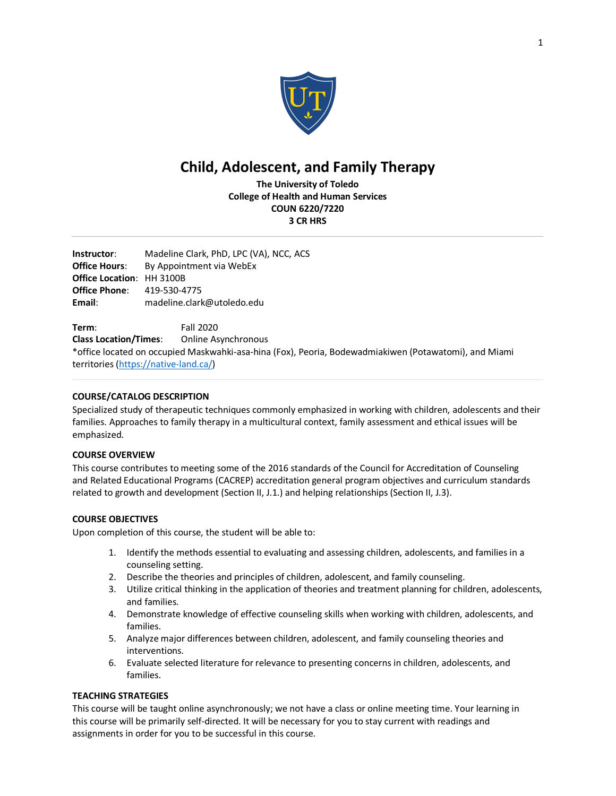

# **Child, Adolescent, and Family Therapy**

**The University of Toledo College of Health and Human Services COUN 6220/7220 3 CR HRS**

**Instructor**: Madeline Clark, PhD, LPC (VA), NCC, ACS **Office Hours:** By Appointment via WebEx **Office Location**: HH 3100B **Office Phone**: 419-530-4775 **Email**: madeline.clark@utoledo.edu

**Term**: Fall 2020 **Class Location/Times**: Online Asynchronous \*office located on occupied Maskwahki-asa-hina (Fox), Peoria, Bodewadmiakiwen (Potawatomi), and Miami territories (https://native-land.ca/)

# **COURSE/CATALOG DESCRIPTION**

Specialized study of therapeutic techniques commonly emphasized in working with children, adolescents and their families. Approaches to family therapy in a multicultural context, family assessment and ethical issues will be emphasized.

# **COURSE OVERVIEW**

This course contributes to meeting some of the 2016 standards of the Council for Accreditation of Counseling and Related Educational Programs (CACREP) accreditation general program objectives and curriculum standards related to growth and development (Section II, J.1.) and helping relationships (Section II, J.3).

# **COURSE OBJECTIVES**

Upon completion of this course, the student will be able to:

- 1. Identify the methods essential to evaluating and assessing children, adolescents, and families in a counseling setting.
- 2. Describe the theories and principles of children, adolescent, and family counseling.
- 3. Utilize critical thinking in the application of theories and treatment planning for children, adolescents, and families.
- 4. Demonstrate knowledge of effective counseling skills when working with children, adolescents, and families.
- 5. Analyze major differences between children, adolescent, and family counseling theories and interventions.
- 6. Evaluate selected literature for relevance to presenting concerns in children, adolescents, and families.

# **TEACHING STRATEGIES**

This course will be taught online asynchronously; we not have a class or online meeting time. Your learning in this course will be primarily self-directed. It will be necessary for you to stay current with readings and assignments in order for you to be successful in this course.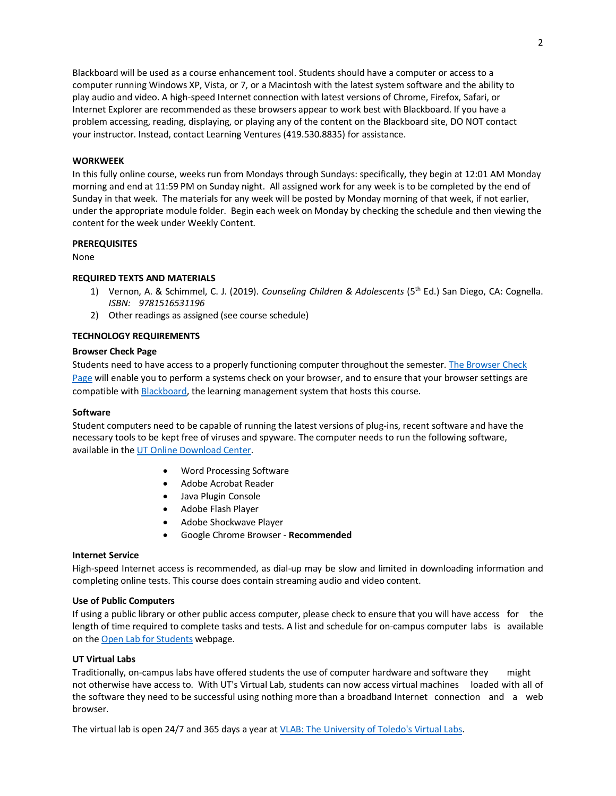Blackboard will be used as a course enhancement tool. Students should have a computer or access to a computer running Windows XP, Vista, or 7, or a Macintosh with the latest system software and the ability to play audio and video. A high-speed Internet connection with latest versions of Chrome, Firefox, Safari, or Internet Explorer are recommended as these browsers appear to work best with Blackboard. If you have a problem accessing, reading, displaying, or playing any of the content on the Blackboard site, DO NOT contact your instructor. Instead, contact Learning Ventures (419.530.8835) for assistance.

# **WORKWEEK**

In this fully online course, weeks run from Mondays through Sundays: specifically, they begin at 12:01 AM Monday morning and end at 11:59 PM on Sunday night. All assigned work for any week is to be completed by the end of Sunday in that week. The materials for any week will be posted by Monday morning of that week, if not earlier, under the appropriate module folder. Begin each week on Monday by checking the schedule and then viewing the content for the week under Weekly Content.

#### **PREREQUISITES**

None

# **REQUIRED TEXTS AND MATERIALS**

- 1) Vernon, A. & Schimmel, C. J. (2019). *Counseling Children & Adolescents* (5th Ed.) San Diego, CA: Cognella. *ISBN: 9781516531196*
- 2) Other readings as assigned (see course schedule)

# **TECHNOLOGY REQUIREMENTS**

# **Browser Check Page**

Students need to have access to a properly functioning computer throughout the semester. The Browser Check Page will enable you to perform a systems check on your browser, and to ensure that your browser settings are compatible with Blackboard, the learning management system that hosts this course.

# **Software**

Student computers need to be capable of running the latest versions of plug-ins, recent software and have the necessary tools to be kept free of viruses and spyware. The computer needs to run the following software, available in the UT Online Download Center.

- Word Processing Software
- Adobe Acrobat Reader
- Java Plugin Console
- Adobe Flash Player
- Adobe Shockwave Player
- Google Chrome Browser **Recommended**

#### **Internet Service**

High-speed Internet access is recommended, as dial-up may be slow and limited in downloading information and completing online tests. This course does contain streaming audio and video content.

#### **Use of Public Computers**

If using a public library or other public access computer, please check to ensure that you will have access for the length of time required to complete tasks and tests. A list and schedule for on-campus computer labs is available on the Open Lab for Students webpage.

#### **UT Virtual Labs**

Traditionally, on-campus labs have offered students the use of computer hardware and software they might not otherwise have access to. With UT's Virtual Lab, students can now access virtual machines loaded with all of the software they need to be successful using nothing more than a broadband Internet connection and a web browser.

The virtual lab is open 24/7 and 365 days a year at VLAB: The University of Toledo's Virtual Labs.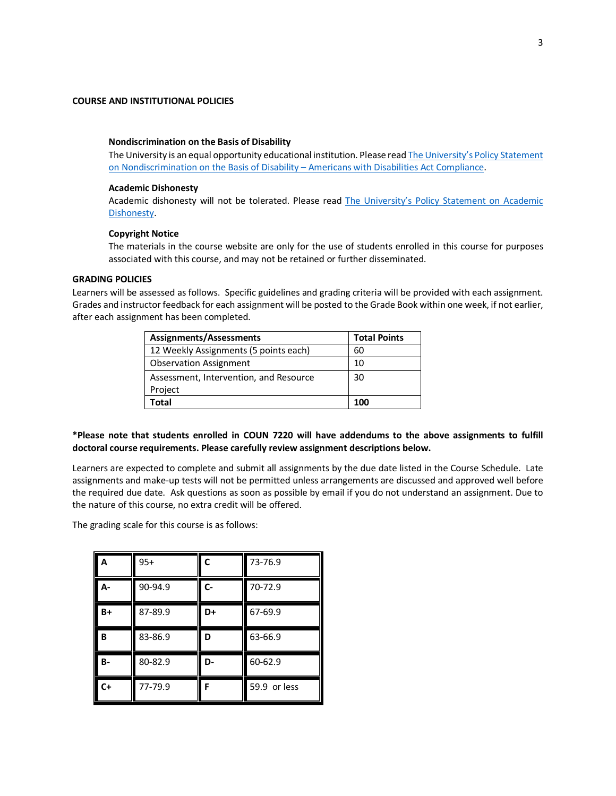## **COURSE AND INSTITUTIONAL POLICIES**

#### **Nondiscrimination on the Basis of Disability**

The University is an equal opportunity educational institution. Please read The University's Policy Statement on Nondiscrimination on the Basis of Disability – Americans with Disabilities Act Compliance.

#### **Academic Dishonesty**

Academic dishonesty will not be tolerated. Please read The University's Policy Statement on Academic **Dishonesty**.

#### **Copyright Notice**

The materials in the course website are only for the use of students enrolled in this course for purposes associated with this course, and may not be retained or further disseminated.

#### **GRADING POLICIES**

Learners will be assessed as follows. Specific guidelines and grading criteria will be provided with each assignment. Grades and instructor feedback for each assignment will be posted to the Grade Book within one week, if not earlier, after each assignment has been completed.

| Assignments/Assessments                | <b>Total Points</b> |
|----------------------------------------|---------------------|
| 12 Weekly Assignments (5 points each)  | 60                  |
| <b>Observation Assignment</b>          | 10                  |
| Assessment, Intervention, and Resource | 30                  |
| Project                                |                     |
| Total                                  | 100                 |

# **\*Please note that students enrolled in COUN 7220 will have addendums to the above assignments to fulfill doctoral course requirements. Please carefully review assignment descriptions below.**

Learners are expected to complete and submit all assignments by the due date listed in the Course Schedule. Late assignments and make-up tests will not be permitted unless arrangements are discussed and approved well before the required due date. Ask questions as soon as possible by email if you do not understand an assignment. Due to the nature of this course, no extra credit will be offered.

The grading scale for this course is as follows:

| A         | $95+$   | $\mathsf{C}$ | 73-76.9      |
|-----------|---------|--------------|--------------|
| А-        | 90-94.9 | $c-$         | 70-72.9      |
| B+        | 87-89.9 | D+           | 67-69.9      |
| B         | 83-86.9 | D            | 63-66.9      |
| <b>B-</b> | 80-82.9 | D-           | 60-62.9      |
| $C+$      | 77-79.9 | F            | 59.9 or less |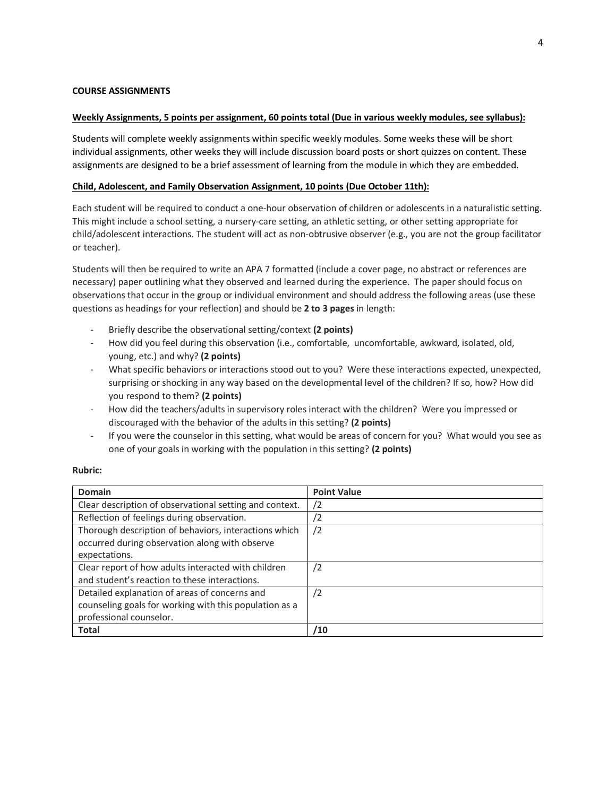# **COURSE ASSIGNMENTS**

#### **Weekly Assignments, 5 points per assignment, 60 points total (Due in various weekly modules, see syllabus):**

Students will complete weekly assignments within specific weekly modules. Some weeks these will be short individual assignments, other weeks they will include discussion board posts or short quizzes on content. These assignments are designed to be a brief assessment of learning from the module in which they are embedded.

# **Child, Adolescent, and Family Observation Assignment, 10 points (Due October 11th):**

Each student will be required to conduct a one-hour observation of children or adolescents in a naturalistic setting. This might include a school setting, a nursery-care setting, an athletic setting, or other setting appropriate for child/adolescent interactions. The student will act as non-obtrusive observer (e.g., you are not the group facilitator or teacher).

Students will then be required to write an APA 7 formatted (include a cover page, no abstract or references are necessary) paper outlining what they observed and learned during the experience. The paper should focus on observations that occur in the group or individual environment and should address the following areas (use these questions as headings for your reflection) and should be **2 to 3 pages** in length:

- Briefly describe the observational setting/context **(2 points)**
- How did you feel during this observation (i.e., comfortable, uncomfortable, awkward, isolated, old, young, etc.) and why? **(2 points)**
- What specific behaviors or interactions stood out to you? Were these interactions expected, unexpected, surprising or shocking in any way based on the developmental level of the children? If so, how? How did you respond to them? **(2 points)**
- How did the teachers/adults in supervisory roles interact with the children? Were you impressed or discouraged with the behavior of the adults in this setting? **(2 points)**
- If you were the counselor in this setting, what would be areas of concern for you? What would you see as one of your goals in working with the population in this setting? **(2 points)**

# **Rubric:**

| Domain                                                  | <b>Point Value</b> |
|---------------------------------------------------------|--------------------|
| Clear description of observational setting and context. | '2                 |
| Reflection of feelings during observation.              | '2                 |
| Thorough description of behaviors, interactions which   | /2                 |
| occurred during observation along with observe          |                    |
| expectations.                                           |                    |
| Clear report of how adults interacted with children     | /2                 |
| and student's reaction to these interactions.           |                    |
| Detailed explanation of areas of concerns and           | /2                 |
| counseling goals for working with this population as a  |                    |
| professional counselor.                                 |                    |
| <b>Total</b>                                            | /10                |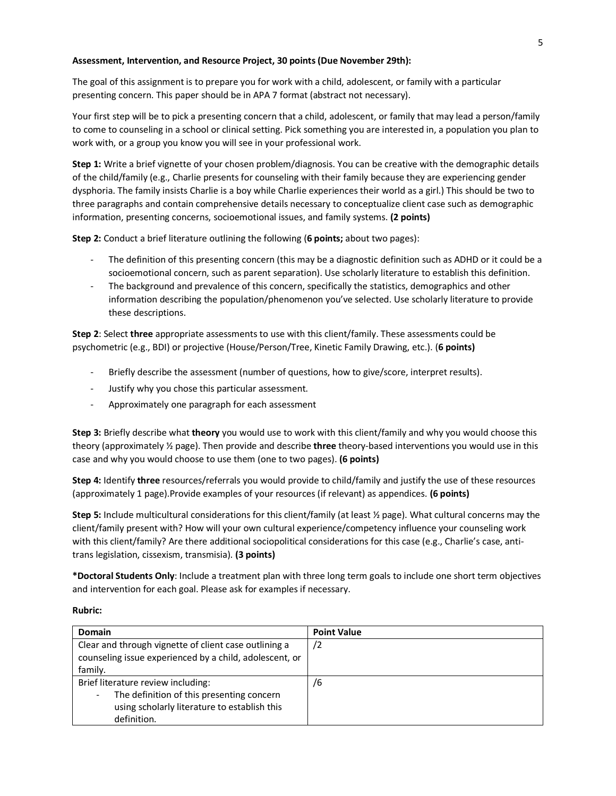# **Assessment, Intervention, and Resource Project, 30 points (Due November 29th):**

The goal of this assignment is to prepare you for work with a child, adolescent, or family with a particular presenting concern. This paper should be in APA 7 format (abstract not necessary).

Your first step will be to pick a presenting concern that a child, adolescent, or family that may lead a person/family to come to counseling in a school or clinical setting. Pick something you are interested in, a population you plan to work with, or a group you know you will see in your professional work.

**Step 1:** Write a brief vignette of your chosen problem/diagnosis. You can be creative with the demographic details of the child/family (e.g., Charlie presents for counseling with their family because they are experiencing gender dysphoria. The family insists Charlie is a boy while Charlie experiences their world as a girl.) This should be two to three paragraphs and contain comprehensive details necessary to conceptualize client case such as demographic information, presenting concerns, socioemotional issues, and family systems. **(2 points)**

**Step 2:** Conduct a brief literature outlining the following (**6 points;** about two pages):

- The definition of this presenting concern (this may be a diagnostic definition such as ADHD or it could be a socioemotional concern, such as parent separation). Use scholarly literature to establish this definition.
- The background and prevalence of this concern, specifically the statistics, demographics and other information describing the population/phenomenon you've selected. Use scholarly literature to provide these descriptions.

**Step 2**: Select **three** appropriate assessments to use with this client/family. These assessments could be psychometric (e.g., BDI) or projective (House/Person/Tree, Kinetic Family Drawing, etc.). (**6 points)**

- Briefly describe the assessment (number of questions, how to give/score, interpret results).
- Justify why you chose this particular assessment.
- Approximately one paragraph for each assessment

**Step 3:** Briefly describe what **theory** you would use to work with this client/family and why you would choose this theory (approximately ½ page). Then provide and describe **three** theory-based interventions you would use in this case and why you would choose to use them (one to two pages). **(6 points)**

**Step 4:** Identify **three** resources/referrals you would provide to child/family and justify the use of these resources (approximately 1 page).Provide examples of your resources (if relevant) as appendices. **(6 points)**

**Step 5:** Include multicultural considerations for this client/family (at least ½ page). What cultural concerns may the client/family present with? How will your own cultural experience/competency influence your counseling work with this client/family? Are there additional sociopolitical considerations for this case (e.g., Charlie's case, antitrans legislation, cissexism, transmisia). **(3 points)**

**\*Doctoral Students Only**: Include a treatment plan with three long term goals to include one short term objectives and intervention for each goal. Please ask for examples if necessary.

#### **Rubric:**

| Domain                                                                                                                                         | <b>Point Value</b> |
|------------------------------------------------------------------------------------------------------------------------------------------------|--------------------|
| Clear and through vignette of client case outlining a<br>counseling issue experienced by a child, adolescent, or<br>family.                    | /2                 |
| Brief literature review including:<br>The definition of this presenting concern<br>using scholarly literature to establish this<br>definition. | /6                 |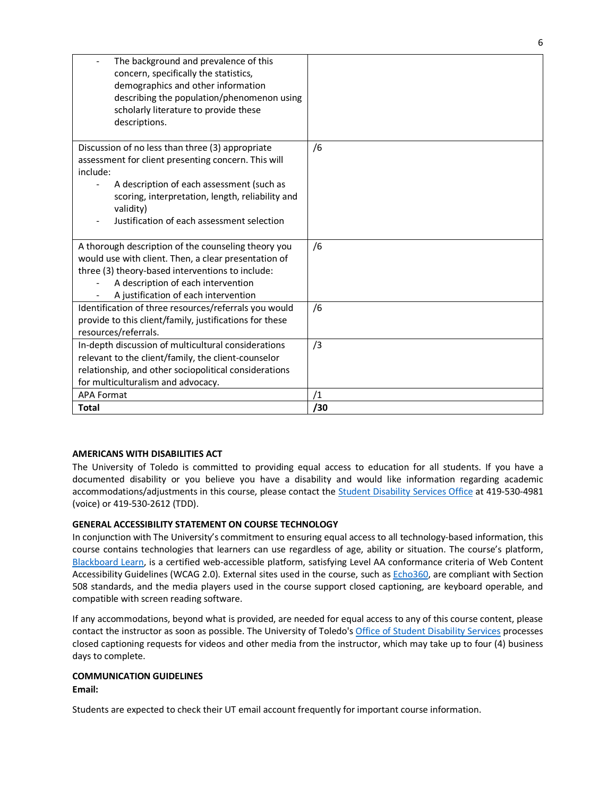| The background and prevalence of this<br>concern, specifically the statistics,<br>demographics and other information<br>describing the population/phenomenon using<br>scholarly literature to provide these<br>descriptions.                                                    |           |
|---------------------------------------------------------------------------------------------------------------------------------------------------------------------------------------------------------------------------------------------------------------------------------|-----------|
| Discussion of no less than three (3) appropriate<br>assessment for client presenting concern. This will<br>include:<br>A description of each assessment (such as<br>scoring, interpretation, length, reliability and<br>validity)<br>Justification of each assessment selection | /6        |
| A thorough description of the counseling theory you<br>would use with client. Then, a clear presentation of<br>three (3) theory-based interventions to include:<br>A description of each intervention<br>A justification of each intervention                                   | /6        |
| Identification of three resources/referrals you would<br>provide to this client/family, justifications for these<br>resources/referrals.                                                                                                                                        | /6        |
| In-depth discussion of multicultural considerations<br>relevant to the client/family, the client-counselor<br>relationship, and other sociopolitical considerations<br>for multiculturalism and advocacy.                                                                       | /3        |
| <b>APA Format</b><br><b>Total</b>                                                                                                                                                                                                                                               | /1<br>/30 |
|                                                                                                                                                                                                                                                                                 |           |

# **AMERICANS WITH DISABILITIES ACT**

The University of Toledo is committed to providing equal access to education for all students. If you have a documented disability or you believe you have a disability and would like information regarding academic accommodations/adjustments in this course, please contact the Student Disability Services Office at 419-530-4981 (voice) or 419-530-2612 (TDD).

# **GENERAL ACCESSIBILITY STATEMENT ON COURSE TECHNOLOGY**

In conjunction with The University's commitment to ensuring equal access to all technology-based information, this course contains technologies that learners can use regardless of age, ability or situation. The course's platform, Blackboard Learn, is a certified web-accessible platform, satisfying Level AA conformance criteria of Web Content Accessibility Guidelines (WCAG 2.0). External sites used in the course, such as Echo360, are compliant with Section 508 standards, and the media players used in the course support closed captioning, are keyboard operable, and compatible with screen reading software.

If any accommodations, beyond what is provided, are needed for equal access to any of this course content, please contact the instructor as soon as possible. The University of Toledo's Office of Student Disability Services processes closed captioning requests for videos and other media from the instructor, which may take up to four (4) business days to complete.

# **COMMUNICATION GUIDELINES**

**Email:**

Students are expected to check their UT email account frequently for important course information.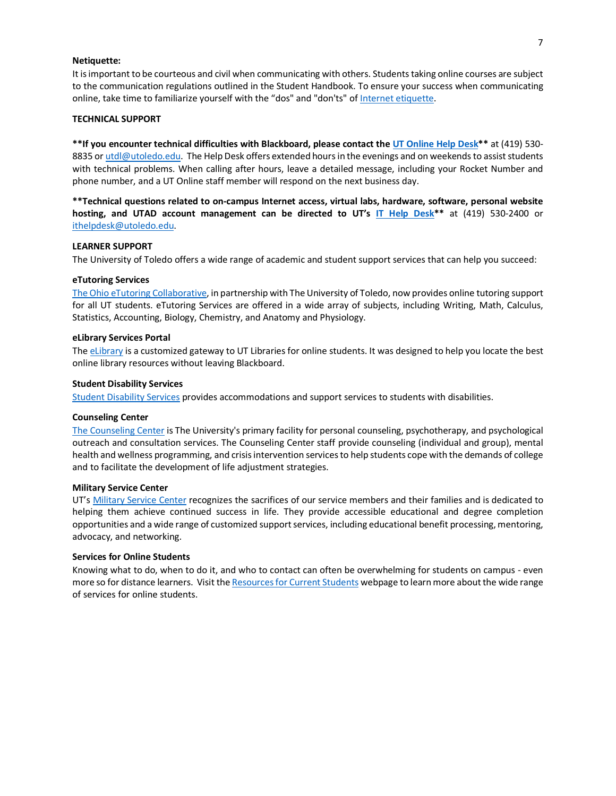#### **Netiquette:**

It is important to be courteous and civil when communicating with others. Students taking online courses are subject to the communication regulations outlined in the Student Handbook. To ensure your success when communicating online, take time to familiarize yourself with the "dos" and "don'ts" of Internet etiquette.

#### **TECHNICAL SUPPORT**

**\*\*If you encounter technical difficulties with Blackboard, please contact the UT Online Help Desk\*\*** at (419) 530- 8835 or utdl@utoledo.edu. The Help Desk offers extended hours in the evenings and on weekends to assist students with technical problems. When calling after hours, leave a detailed message, including your Rocket Number and phone number, and a UT Online staff member will respond on the next business day.

**\*\*Technical questions related to on-campus Internet access, virtual labs, hardware, software, personal website hosting, and UTAD account management can be directed to UT's IT Help Desk\*\*** at (419) 530-2400 or ithelpdesk@utoledo.edu.

#### **LEARNER SUPPORT**

The University of Toledo offers a wide range of academic and student support services that can help you succeed:

#### **eTutoring Services**

The Ohio eTutoring Collaborative, in partnership with The University of Toledo, now provides online tutoring support for all UT students. eTutoring Services are offered in a wide array of subjects, including Writing, Math, Calculus, Statistics, Accounting, Biology, Chemistry, and Anatomy and Physiology.

#### **eLibrary Services Portal**

The eLibrary is a customized gateway to UT Libraries for online students. It was designed to help you locate the best online library resources without leaving Blackboard.

#### **Student Disability Services**

Student Disability Services provides accommodations and support services to students with disabilities.

#### **Counseling Center**

The Counseling Center is The University's primary facility for personal counseling, psychotherapy, and psychological outreach and consultation services. The Counseling Center staff provide counseling (individual and group), mental health and wellness programming, and crisis intervention services to help students cope with the demands of college and to facilitate the development of life adjustment strategies.

#### **Military Service Center**

UT's Military Service Center recognizes the sacrifices of our service members and their families and is dedicated to helping them achieve continued success in life. They provide accessible educational and degree completion opportunities and a wide range of customized support services, including educational benefit processing, mentoring, advocacy, and networking.

#### **Services for Online Students**

Knowing what to do, when to do it, and who to contact can often be overwhelming for students on campus - even more so for distance learners. Visit the Resources for Current Students webpage to learn more about the wide range of services for online students.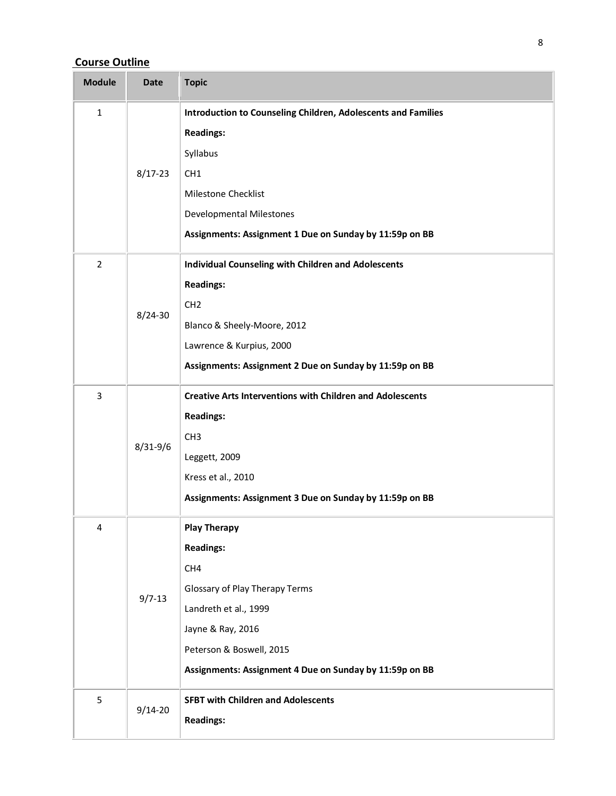# **Course Outline**

| <b>Module</b>  | <b>Date</b>  | <b>Topic</b>                                                                                                                                                                                                                          |
|----------------|--------------|---------------------------------------------------------------------------------------------------------------------------------------------------------------------------------------------------------------------------------------|
| $\mathbf{1}$   | $8/17 - 23$  | Introduction to Counseling Children, Adolescents and Families<br><b>Readings:</b><br>Syllabus<br>CH <sub>1</sub><br>Milestone Checklist<br><b>Developmental Milestones</b><br>Assignments: Assignment 1 Due on Sunday by 11:59p on BB |
| $\overline{2}$ | $8/24 - 30$  | <b>Individual Counseling with Children and Adolescents</b><br><b>Readings:</b><br>CH <sub>2</sub><br>Blanco & Sheely-Moore, 2012<br>Lawrence & Kurpius, 2000<br>Assignments: Assignment 2 Due on Sunday by 11:59p on BB               |
| 3              | $8/31 - 9/6$ | <b>Creative Arts Interventions with Children and Adolescents</b><br><b>Readings:</b><br>CH <sub>3</sub><br>Leggett, 2009<br>Kress et al., 2010<br>Assignments: Assignment 3 Due on Sunday by 11:59p on BB                             |
| 4              | $9/7 - 13$   | <b>Play Therapy</b><br><b>Readings:</b><br>CH4<br>Glossary of Play Therapy Terms<br>Landreth et al., 1999<br>Jayne & Ray, 2016<br>Peterson & Boswell, 2015<br>Assignments: Assignment 4 Due on Sunday by 11:59p on BB                 |
| 5              | $9/14 - 20$  | <b>SFBT with Children and Adolescents</b><br><b>Readings:</b>                                                                                                                                                                         |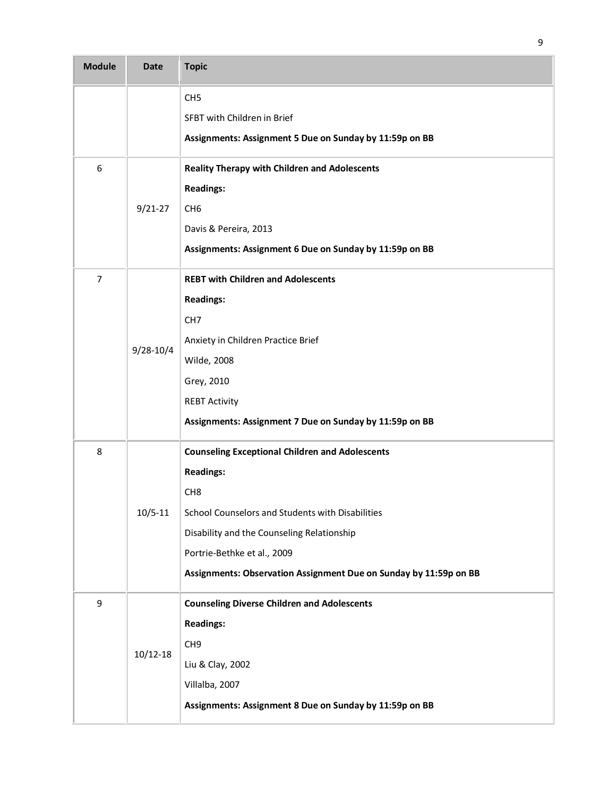| <b>Module</b> | <b>Date</b>   | <b>Topic</b>                                                                                                                                                                                                                                                                                        |
|---------------|---------------|-----------------------------------------------------------------------------------------------------------------------------------------------------------------------------------------------------------------------------------------------------------------------------------------------------|
|               |               | CH <sub>5</sub><br>SFBT with Children in Brief<br>Assignments: Assignment 5 Due on Sunday by 11:59p on BB                                                                                                                                                                                           |
| 6             | $9/21 - 27$   | <b>Reality Therapy with Children and Adolescents</b><br><b>Readings:</b><br>CH <sub>6</sub><br>Davis & Pereira, 2013<br>Assignments: Assignment 6 Due on Sunday by 11:59p on BB                                                                                                                     |
| 7             | $9/28 - 10/4$ | <b>REBT with Children and Adolescents</b><br><b>Readings:</b><br>CH <sub>7</sub><br>Anxiety in Children Practice Brief<br>Wilde, 2008<br>Grey, 2010<br><b>REBT Activity</b><br>Assignments: Assignment 7 Due on Sunday by 11:59p on BB                                                              |
| 8             | $10/5 - 11$   | <b>Counseling Exceptional Children and Adolescents</b><br><b>Readings:</b><br>CH <sub>8</sub><br>School Counselors and Students with Disabilities<br>Disability and the Counseling Relationship<br>Portrie-Bethke et al., 2009<br>Assignments: Observation Assignment Due on Sunday by 11:59p on BB |
| 9             | 10/12-18      | <b>Counseling Diverse Children and Adolescents</b><br><b>Readings:</b><br>CH <sub>9</sub><br>Liu & Clay, 2002<br>Villalba, 2007<br>Assignments: Assignment 8 Due on Sunday by 11:59p on BB                                                                                                          |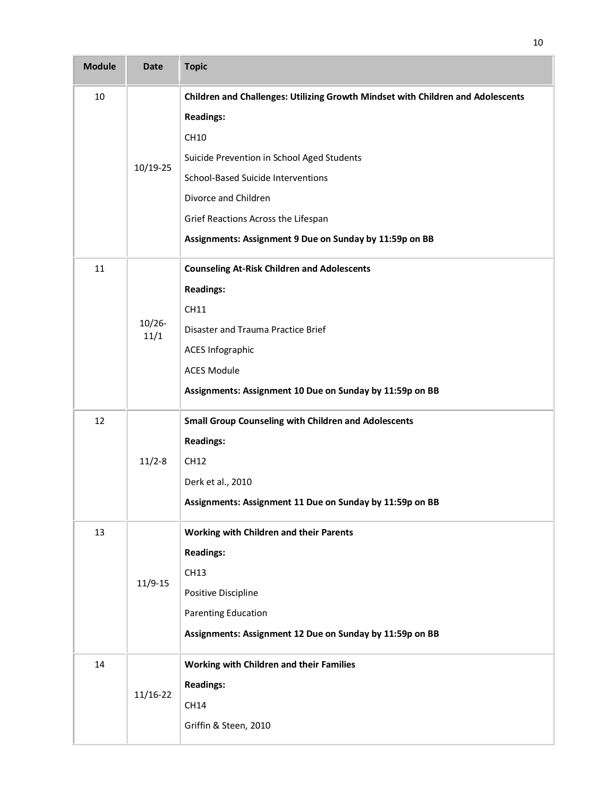| <b>Module</b> | <b>Date</b>       | <b>Topic</b>                                                                    |
|---------------|-------------------|---------------------------------------------------------------------------------|
| 10            |                   | Children and Challenges: Utilizing Growth Mindset with Children and Adolescents |
|               |                   | <b>Readings:</b>                                                                |
|               |                   | CH10                                                                            |
|               | 10/19-25          | Suicide Prevention in School Aged Students                                      |
|               |                   | School-Based Suicide Interventions                                              |
|               |                   | Divorce and Children                                                            |
|               |                   | Grief Reactions Across the Lifespan                                             |
|               |                   | Assignments: Assignment 9 Due on Sunday by 11:59p on BB                         |
| 11            |                   | <b>Counseling At-Risk Children and Adolescents</b>                              |
|               |                   | <b>Readings:</b>                                                                |
|               |                   | CH11                                                                            |
|               | $10/26 -$<br>11/1 | Disaster and Trauma Practice Brief                                              |
|               |                   | <b>ACES Infographic</b>                                                         |
|               |                   | <b>ACES Module</b>                                                              |
|               |                   | Assignments: Assignment 10 Due on Sunday by 11:59p on BB                        |
| 12            |                   | <b>Small Group Counseling with Children and Adolescents</b>                     |
|               |                   | <b>Readings:</b>                                                                |
|               | $11/2 - 8$        | CH12                                                                            |
|               |                   | Derk et al., 2010                                                               |
|               |                   | Assignments: Assignment 11 Due on Sunday by 11:59p on BB                        |
| 13            |                   | Working with Children and their Parents                                         |
|               |                   | <b>Readings:</b>                                                                |
|               | $11/9 - 15$       | CH13                                                                            |
|               |                   | Positive Discipline                                                             |
|               |                   | <b>Parenting Education</b>                                                      |
|               |                   | Assignments: Assignment 12 Due on Sunday by 11:59p on BB                        |
| 14            |                   | Working with Children and their Families                                        |
|               | $11/16-22$        | <b>Readings:</b>                                                                |
|               |                   | CH14                                                                            |
|               |                   | Griffin & Steen, 2010                                                           |